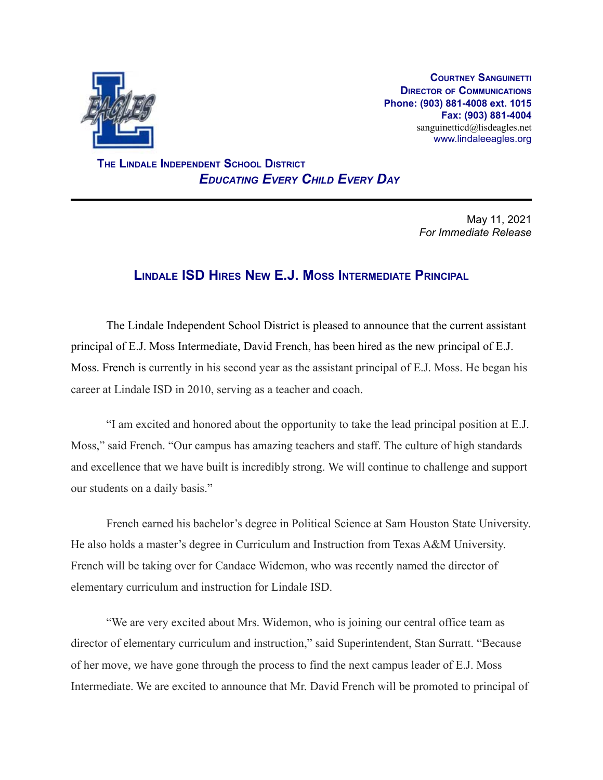

**COURTNEY SANGUINETTI DIRECTOR OF COMMUNICATIONS Phone: (903) 881-4008 ext. 1015 Fax: (903) 881-4004** sanguinetticd@lisdeagles.net www.lindaleeagles.org

**THE LINDALE INDEPENDENT SCHOOL DISTRICT** *EDUCATING EVERY CHILD EVERY DAY*

> May 11, 2021 *For Immediate Release*

## **LINDALE ISD HIRES NEW E.J. MOSS INTERMEDIATE PRINCIPAL**

The Lindale Independent School District is pleased to announce that the current assistant principal of E.J. Moss Intermediate, David French, has been hired as the new principal of E.J. Moss. French is currently in his second year as the assistant principal of E.J. Moss. He began his career at Lindale ISD in 2010, serving as a teacher and coach.

"I am excited and honored about the opportunity to take the lead principal position at E.J. Moss," said French. "Our campus has amazing teachers and staff. The culture of high standards and excellence that we have built is incredibly strong. We will continue to challenge and support our students on a daily basis."

French earned his bachelor's degree in Political Science at Sam Houston State University. He also holds a master's degree in Curriculum and Instruction from Texas A&M University. French will be taking over for Candace Widemon, who was recently named the director of elementary curriculum and instruction for Lindale ISD.

"We are very excited about Mrs. Widemon, who is joining our central office team as director of elementary curriculum and instruction," said Superintendent, Stan Surratt. "Because of her move, we have gone through the process to find the next campus leader of E.J. Moss Intermediate. We are excited to announce that Mr. David French will be promoted to principal of